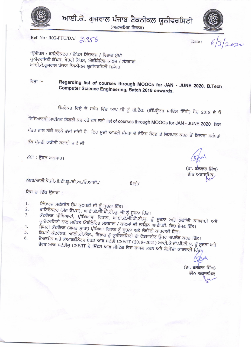

ਆਈ.ਕੇ. ਗੁਜਰਾਲ ਪੰਜਾਬ ਟੈਕਨੀਕਲ ਯੂਨੀਵਰਸਿਟੀ

(ਅਕਾਦਮਿਕ ਵਿਭਾਗ)



Ref. No.: IKG-PTU/DA/ 2356

Date:

 $6/3/2$ esi

ਪ੍ਰਿੰਸੀਪਲ / ਡਾਇਰੈਕਟਰ / ਕੈਂਪਸ ਇੰਚਾਰਜ / ਵਿਭਾਗ ਮੁੱਖੀ ਯੂਨੀਵਰਸਿਟੀ ਕੈਂਪਸ, ਖੇਤਰੀ ਕੈਂਪਸ, ਐਫੀਲੇਟਿਡ ਕਾਲਜ / ਸੰਸਥਾਵਾਂ ਆਈ.ਕੇ.ਗੁਜਰਾਲ ਪੰਜਾਬ ਟੈਕਨੀਕਲ ਯੂਨੀਵਰਸਿਟੀ ਜਲੰਧਰ

## ਵਿਸ਼ਾ :– Regarding list of courses through MOOCs for JAN - JUNE 2020, B.Tech Computer Science Engineering, Batch 2018 onwards.

ਉਪਰੋਕਤ ਵਿਸ਼ੇ ਦੇ ਸਬੰਧ ਵਿੱਚ ਆਪ ਜੀ ਨੂੰ ਬੀ.ਟੈਕ. (ਕੰਪਿਊਟਰ ਸਾਇੰਸ ਇੰਜੀ) ਬੈਚ 2018 ਦੇ ਜ਼ੋ ਵਿਦਿਆਰਥੀ ਮਾਈਨਰ ਡਿਗਰੀ ਕਰ ਰਹੇ ਹਨ ਲਈ list of courses through MOOCs for JAN - JUNE 2020 ਇਸ ਪੱਤਰ ਨਾਲ ਨੱਥੀ ਕਰਕੇ ਭੇਜੀ ਜਾਂਦੀ ਹੈ। ਇਹ ਸੂਚੀ ਆਪਣੀ ਸੰਸਥਾ ਦੇ ਨੋਟਿਸ ਬੋਰਡ ਤੇ ਚਿਸਪਾਨ ਕਰਨ ਤੋਂ ਇਲਾਵਾ ਸਬੰਧਤਾਂ ਤੱਕ ਪੁੱਜਦੀ ਯਕੀਨੀ ਬਣਾਈ ਜਾਵੇ ਜੀ

ਨੱਥੀ : ਉਕਤ ਅਨੁਸਾਰ।

ਨੰਬਰ/ਆਈ.ਕੇ.ਜੀ.ਪੀ.ਟੀ.ਯੂ./ਡੀ.ਅ./ਓ.ਆਈ./

ਮਿਤੀ/

ਇਸ ਦਾ ਇੱਕ ਉਤਾਰਾ :

- ਇੰਚਾਰਜ ਸਕੱਤਰੇਤ ਉਪ ਕੁਲਪਤੀ ਜੀ ਨੂੰ ਸੂਚਨਾ ਹਿੱਤ। 1.
- ਡਾਇਰੈਕਟਰ (ਮੇਨ ਕੈਂਪਸ), ਆਈ.ਕੇ.ਜੀ.ਪੀ.ਟੀ.ਯੂ. ਜੀ ਨੂੰ ਸੂਚਨਾ ਹਿੱਤ।  $2.$ ਕੰਟਰੋਲਰ ਪ੍ਰੀਖਿਆਵਾਂ, ਪ੍ਰੀਖਿਆਵਾਂ ਵਿਭਾਗ, ਆਈ.ਕੇ.ਜੀ.ਪੀ.ਟੀ.ਯੂ. ਨੂੰ ਸੂਚਨਾ ਅਤੇ ਲੋੜੀਂਦੀ ਕਾਰਵਾਈ ਅਤੇ 3.
- ਯੂਨੀਵਰਸਿਟੀ ਨਾਲ ਸਬੰਧਤ ਐਫੀਲੇਟਿਡ ਸੰਸਥਾਵਾਂ / ਕਾਲਜਾਂ ਦੀ ਲਾਗਿਨ ਆਈ.ਡੀ. ਵਿਚ ਭੇਜਣ ਹਿੱਤ। ਡੈਂਪਟੀ ਕੰਟਰੋਲਰ (ਗੁਪਤ ਸ਼ਾਖਾ) ਪ੍ਰੀਖਿਆ ਵਿਭਾਗ ਨੂੰ ਸੂਚਨਾ ਅਤੇ ਲੋੜੀਂਦੀ ਕਾਰਵਾਈ ਹਿੱਤ।  $4.$
- 5.
- ਡਿਪਟੀ ਕੰਟਰੋਲਰ, ਆਈ.ਟੀ.ਐਸ., ਵਿਭਾਗ ਨੂੰ ਯੂਨੀਵਰਸਿਟੀ ਦੀ ਵੈਬਸਾਈਟ ਉਪਰ ਅਪਲੋਡ ਕਰਨ ਹਿੱਤ। ਚੈਅਰਮੈਨ ਅਤੇ ਕੋਆਰਡੀਨੇਟਰ ਬੋਰਡ ਆਫ ਸਟੱਡੀ CSE/IT (2019-2021) ਆਈ.ਕੇ.ਜੀ.ਪੀ.ਟੀ.ਯੂ. ਨੂੰ ਸੂਚਨਾ ਅਤੇ 6. ਬੋਰਡ ਆਫ ਸਟੱਡੀਜ਼ CSE/IT ਦੇ ਮਿੰਟਸ ਆਫ ਮੀਟਿੰਗ ਵਿਚ ਸ਼ਾਮਲ ਕਰਨ ਅਤੇ ਲੋੜੀਂਦੀ ਕਾਰਵਾਈ ਹਿੱਤੁ<sub>∱</sub>

(ਡਾ. ਬਲਕਾਰ ਸਿੰਘ) ਡੀਨ ਅਕਾਦਮਿਕ

(ਡਾ. ਬਲਕਾਰ ਸਿੰਘ) ਡੀਨ ਅਕਾਚਮਿਕ